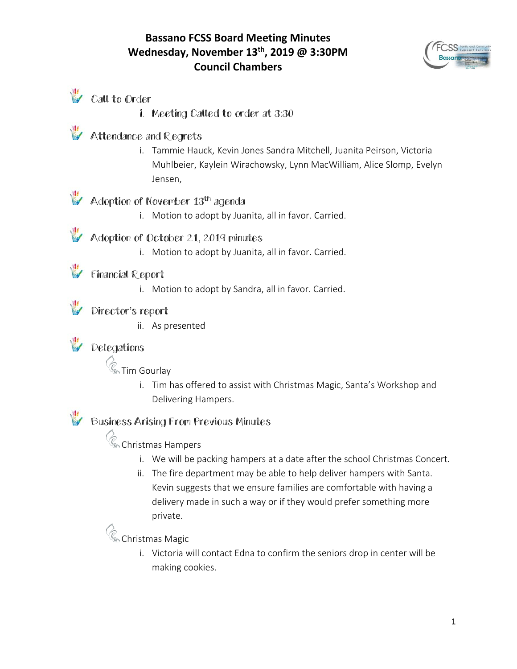#### **Bassano FCSS Board Meeting Minutes Wednesday, November 13th, 2019 @ 3:30PM Council Chambers**





- Call to Order
	- i. Meeting Called to order at 3:30

#### Attendance and Regrets

i. Tammie Hauck, Kevin Jones Sandra Mitchell, Juanita Peirson, Victoria Muhlbeier, Kaylein Wirachowsky, Lynn MacWilliam, Alice Slomp, Evelyn Jensen,

### Adoption of November 13<sup>th</sup> agenda

i. Motion to adopt by Juanita, all in favor. Carried.

Adoption of October 21, 2019 minutes

i. Motion to adopt by Juanita, all in favor. Carried.

#### Financial Report

i. Motion to adopt by Sandra, all in favor. Carried.

#### Director's report

ii. As presented

#### Delegations

**&** Tim Gourlay

i. Tim has offered to assist with Christmas Magic, Santa's Workshop and Delivering Hampers.

### Business Arising From Previous Minutes

**C** Christmas Hampers

- i. We will be packing hampers at a date after the school Christmas Concert.
- ii. The fire department may be able to help deliver hampers with Santa. Kevin suggests that we ensure families are comfortable with having a delivery made in such a way or if they would prefer something more private.

# **Christmas Magic**

i. Victoria will contact Edna to confirm the seniors drop in center will be making cookies.